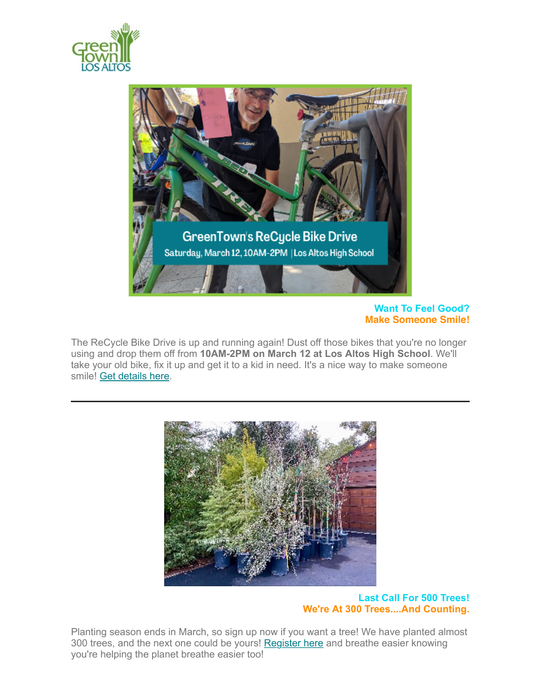



### **Want To Feel Good? Make Someone Smile!**

The ReCycle Bike Drive is up and running again! Dust off those bikes that you're no longer using and drop them off from **10AM-2PM on March 12 at Los Altos High School**. We'll take your old bike, fix it up and get it to a kid in need. It's a nice way to make someone smile! [Get details here.](https://www.greentownlosaltos.org/post/recycle-bike-drive-got-a-bike-give-a-bike-make-someone-smile)



**Last Call For 500 Trees! We're At 300 Trees....And Counting.**

Planting season ends in March, so sign up now if you want a tree! We have planted almost 300 trees, and the next one could be yours! [Register here](https://www.greentownlosaltos.org/500-trees) and breathe easier knowing you're helping the planet breathe easier too!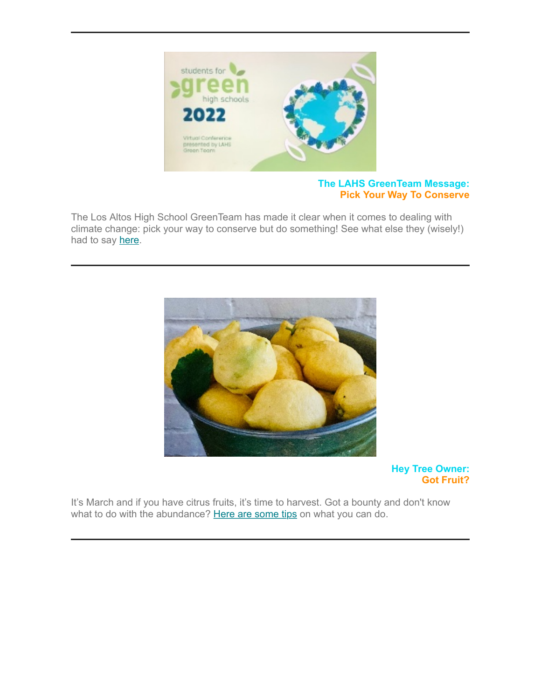

### **The LAHS GreenTeam Message: Pick Your Way To Conserve**

The Los Altos High School GreenTeam has made it clear when it comes to dealing with climate change: pick your way to conserve but do something! See what else they (wisely!) had to say [here.](https://www.greentownlosaltos.org/post/the-greenteam-message-pick-your-way-to-conserve-but-do-something)



**Hey Tree Owner: Got Fruit?**

It's March and if you have citrus fruits, it's time to harvest. Got a bounty and don't know what to do with the abundance? [Here are some tips](https://www.greentownlosaltos.org/post/hey-tree-owner-got-fruit) on what you can do.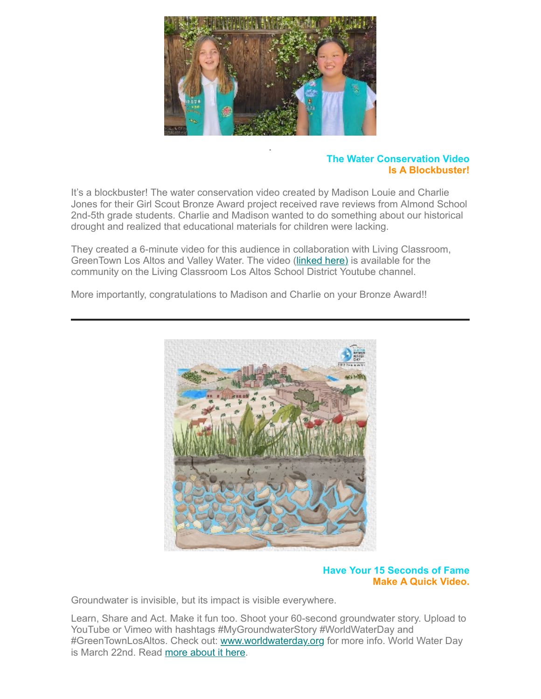

## **The Water Conservation Video Is A Blockbuster!**

It's a blockbuster! The water conservation video created by Madison Louie and Charlie Jones for their Girl Scout Bronze Award project received rave reviews from Almond School 2nd-5th grade students. Charlie and Madison wanted to do something about our historical drought and realized that educational materials for children were lacking.

.

They created a 6-minute video for this audience in collaboration with Living Classroom, GreenTown Los Altos and Valley Water. The video ([linked here\)](https://www.youtube.com/watch?v=dVQxU1zz4KI) is available for the community on the Living Classroom Los Altos School District Youtube channel.

More importantly, congratulations to Madison and Charlie on your Bronze Award!!



### **Have Your 15 Seconds of Fame Make A Quick Video.**

Groundwater is invisible, but its impact is visible everywhere.

Learn, Share and Act. Make it fun too. Shoot your 60-second groundwater story. Upload to YouTube or Vimeo with hashtags #MyGroundwaterStory #WorldWaterDay and #GreenTownLosAltos. Check out: [www.worldwaterday.org](http://www.worldwaterday.org/) for more info. World Water Day is March 22nd. Read [more about it here.](https://www.greentownlosaltos.org/post/world-water-day-march-22-2022-groundwater-making-the-invisible-visible)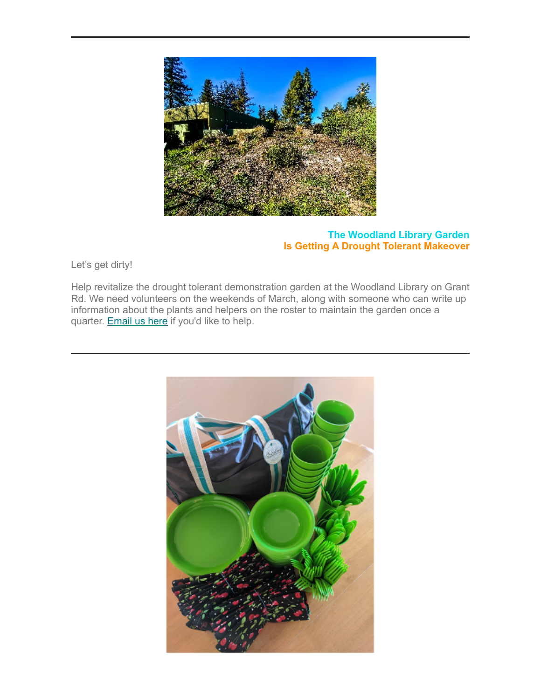

# **The Woodland Library Garden Is Getting A Drought Tolerant Makeover**

Let's get dirty!

Help revitalize the drought tolerant demonstration garden at the Woodland Library on Grant Rd. We need volunteers on the weekends of March, along with someone who can write up information about the plants and helpers on the roster to maintain the garden once a quarter. **Email us here** if you'd like to help.

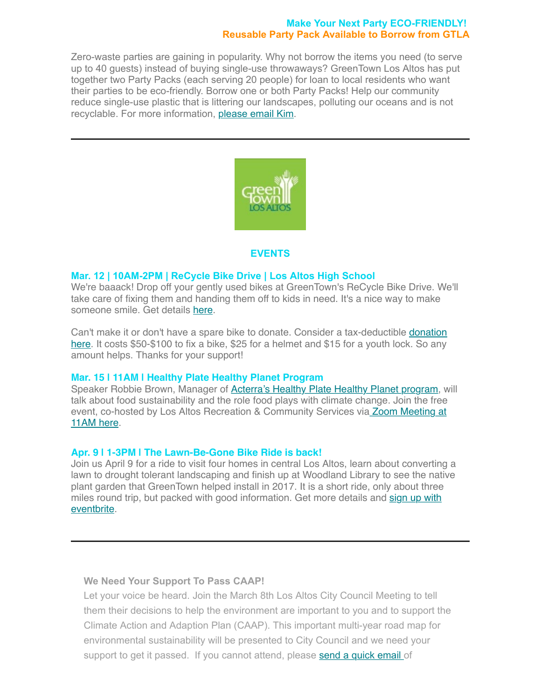#### **Make Your Next Party ECO-FRIENDLY! Reusable Party Pack Available to Borrow from GTLA**

Zero-waste parties are gaining in popularity. Why not borrow the items you need (to serve up to 40 guests) instead of buying single-use throwaways? GreenTown Los Altos has put together two Party Packs (each serving 20 people) for loan to local residents who want their parties to be eco-friendly. Borrow one or both Party Packs! Help our community reduce single-use plastic that is littering our landscapes, polluting our oceans and is not recyclable. For more information, [please email Kim](mailto:kimjelfs@greentownlosaltos.org?subject=Eco%20friendly%20packs).



### **EVENTS**

#### **Mar. 12 | 10AM-2PM | ReCycle Bike Drive | Los Altos High School**

We're baaack! Drop off your gently used bikes at GreenTown's ReCycle Bike Drive. We'll take care of fixing them and handing them off to kids in need. It's a nice way to make someone smile. Get details [here](https://www.greentownlosaltos.org/post/recycle-bike-drive-got-a-bike-give-a-bike-make-someone-smile).

[Can't make it or don't have a spare bike to donate. Consider a tax-deductible donation](https://lacf.fcsuite.com/erp/donate/create?funit_id=1106) here. It costs \$50-\$100 to fix a bike, \$25 for a helmet and \$15 for a youth lock. So any amount helps. Thanks for your support!

#### **Mar. 15 | 11AM | Healthy Plate Healthy Planet Program**

Speaker Robbie Brown, Manager of [Acterra's Healthy Plate Healthy Planet program](https://www.acterra.org/healthy-plate), will talk about food sustainability and the role food plays with climate change. Join the free [event, co-hosted by Los Altos Recreation & Community Services via Zoom Meeting at](https://us02web.zoom.us/j/81503613403?pwd=SWdVL3JkRUZDU0dwZEY3ckloQmRLZz09) 11AM here.

### **Apr. 9 | 1-3PM | The Lawn-Be-Gone Bike Ride is back!**

Join us April 9 for a ride to visit four homes in central Los Altos, learn about converting a lawn to drought tolerant landscaping and finish up at Woodland Library to see the native plant garden that GreenTown helped install in 2017. It is a short ride, only about three [miles round trip, but packed with good information. Get more details and sign up with](https://www.eventbrite.com/e/lawn-be-gone-bike-ride-tickets-277307633597) eventbrite.

### **We Need Your Support To Pass CAAP!**

Let your voice be heard. Join the March 8th Los Altos City Council Meeting to tell them their decisions to help the environment are important to you and to support the Climate Action and Adaption Plan (CAAP). This important multi-year road map for environmental sustainability will be presented to City Council and we need your support to get it passed. If you cannot attend, please [send a quick email](mailto:PublicComment@losaltosca.gov%C2%A0?subject=Public%20Comment%20Agenda%20Item%209%20March%208th) of